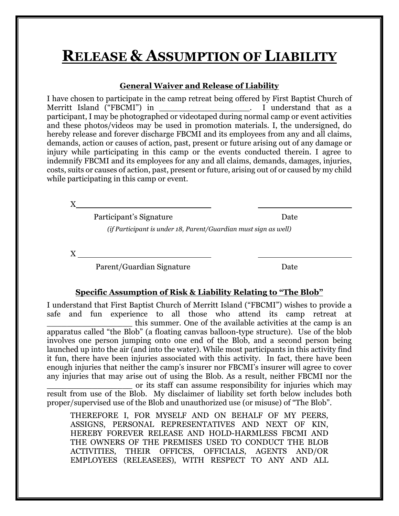# **RELEASE & ASSUMPTION OF LIABILITY**

#### **General Waiver and Release of Liability**

I have chosen to participate in the camp retreat being offered by First Baptist Church of Merritt Island ("FBCMI") in  $\qquad \qquad$  I understand that as a Merritt Island ("FBCMI") in that as a set of the set of the set of that as a set of the set of that as a set of that as a set of that as a set of the set of the set of the set of the set of the set of the set of the set of participant, I may be photographed or videotaped during normal camp or event activities and these photos/videos may be used in promotion materials. I, the undersigned, do hereby release and forever discharge FBCMI and its employees from any and all claims, demands, action or causes of action, past, present or future arising out of any damage or injury while participating in this camp or the events conducted therein. I agree to indemnify FBCMI and its employees for any and all claims, demands, damages, injuries, costs, suits or causes of action, past, present or future, arising out of or caused by my child while participating in this camp or event.

X

Participant's Signature Date

*(if Participant is under 18, Parent/Guardian must sign as well)*

X

Parent/Guardian Signature Date

#### **Specific Assumption of Risk & Liability Relating to "The Blob"**

I understand that First Baptist Church of Merritt Island ("FBCMI") wishes to provide a safe and fun experience to all those who attend its camp retreat at this summer. One of the available activities at the camp is an apparatus called "the Blob" (a floating canvas balloon-type structure). Use of the blob involves one person jumping onto one end of the Blob, and a second person being launched up into the air (and into the water). While most participants in this activity find it fun, there have been injuries associated with this activity. In fact, there have been enough injuries that neither the camp's insurer nor FBCMI's insurer will agree to cover any injuries that may arise out of using the Blob. As a result, neither FBCMI nor the \_\_\_\_\_\_\_\_\_\_\_\_\_\_\_\_\_ or its staff can assume responsibility for injuries which may

result from use of the Blob. My disclaimer of liability set forth below includes both proper/supervised use of the Blob and unauthorized use (or misuse) of "The Blob".

THEREFORE I, FOR MYSELF AND ON BEHALF OF MY PEERS, ASSIGNS, PERSONAL REPRESENTATIVES AND NEXT OF KIN, HEREBY FOREVER RELEASE AND HOLD-HARMLESS FBCMI AND THE OWNERS OF THE PREMISES USED TO CONDUCT THE BLOB ACTIVITIES, THEIR OFFICES, OFFICIALS, AGENTS AND/OR EMPLOYEES (RELEASEES), WITH RESPECT TO ANY AND ALL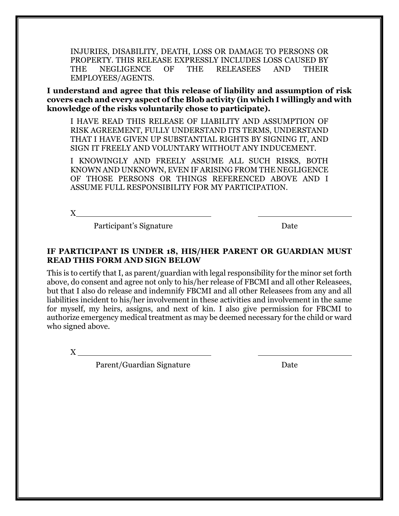INJURIES, DISABILITY, DEATH, LOSS OR DAMAGE TO PERSONS OR PROPERTY. THIS RELEASE EXPRESSLY INCLUDES LOSS CAUSED BY THE NEGLIGENCE OF THE RELEASEES AND THEIR EMPLOYEES/AGENTS.

**I understand and agree that this release of liability and assumption of risk covers each and every aspect of the Blob activity (in which I willingly and with knowledge of the risks voluntarily chose to participate).** 

I HAVE READ THIS RELEASE OF LIABILITY AND ASSUMPTION OF RISK AGREEMENT, FULLY UNDERSTAND ITS TERMS, UNDERSTAND THAT I HAVE GIVEN UP SUBSTANTIAL RIGHTS BY SIGNING IT, AND SIGN IT FREELY AND VOLUNTARY WITHOUT ANY INDUCEMENT.

I KNOWINGLY AND FREELY ASSUME ALL SUCH RISKS, BOTH KNOWN AND UNKNOWN, EVEN IF ARISING FROM THE NEGLIGENCE OF THOSE PERSONS OR THINGS REFERENCED ABOVE AND I ASSUME FULL RESPONSIBILITY FOR MY PARTICIPATION.

X

Participant's Signature Date

#### **IF PARTICIPANT IS UNDER 18, HIS/HER PARENT OR GUARDIAN MUST READ THIS FORM AND SIGN BELOW**

This is to certify that I, as parent/guardian with legal responsibility for the minor set forth above, do consent and agree not only to his/her release of FBCMI and all other Releasees, but that I also do release and indemnify FBCMI and all other Releasees from any and all liabilities incident to his/her involvement in these activities and involvement in the same for myself, my heirs, assigns, and next of kin. I also give permission for FBCMI to authorize emergency medical treatment as may be deemed necessary for the child or ward who signed above.

X

Parent/Guardian Signature Date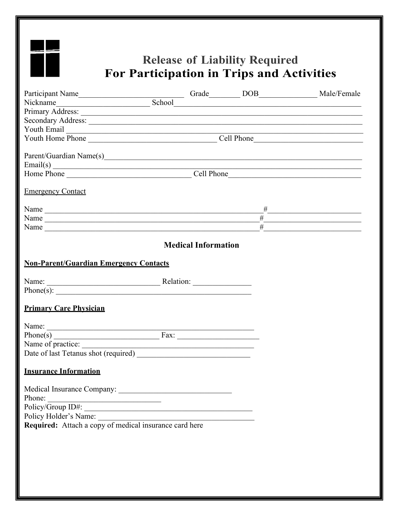

# **Release of Liability Required** For Participation in Trips and Activities

| Youth Email $\frac{1}{1}$                                                                                                                                                                                                                                                                                                                                                                                                                                  |  |                                                               |                |                                                                                                                       |  |
|------------------------------------------------------------------------------------------------------------------------------------------------------------------------------------------------------------------------------------------------------------------------------------------------------------------------------------------------------------------------------------------------------------------------------------------------------------|--|---------------------------------------------------------------|----------------|-----------------------------------------------------------------------------------------------------------------------|--|
|                                                                                                                                                                                                                                                                                                                                                                                                                                                            |  |                                                               |                |                                                                                                                       |  |
|                                                                                                                                                                                                                                                                                                                                                                                                                                                            |  |                                                               |                |                                                                                                                       |  |
| Parent/Guardian Name(s)                                                                                                                                                                                                                                                                                                                                                                                                                                    |  |                                                               |                |                                                                                                                       |  |
| $\text{Email(s)}$                                                                                                                                                                                                                                                                                                                                                                                                                                          |  |                                                               |                |                                                                                                                       |  |
|                                                                                                                                                                                                                                                                                                                                                                                                                                                            |  |                                                               |                |                                                                                                                       |  |
| <b>Emergency Contact</b>                                                                                                                                                                                                                                                                                                                                                                                                                                   |  |                                                               |                |                                                                                                                       |  |
| Name                                                                                                                                                                                                                                                                                                                                                                                                                                                       |  |                                                               |                |                                                                                                                       |  |
| Name                                                                                                                                                                                                                                                                                                                                                                                                                                                       |  |                                                               | $\overline{H}$ | <u> 1990 - Johann John Barn, mars an t-Amerikaansk kommunister (</u>                                                  |  |
| Name                                                                                                                                                                                                                                                                                                                                                                                                                                                       |  |                                                               | #              | <u> 1989 - Johann John Stoff, deutscher Stoffen und der Stoffen und der Stoffen und der Stoffen und der Stoffen u</u> |  |
|                                                                                                                                                                                                                                                                                                                                                                                                                                                            |  | <b>Medical Information</b>                                    |                |                                                                                                                       |  |
| <b>Non-Parent/Guardian Emergency Contacts</b>                                                                                                                                                                                                                                                                                                                                                                                                              |  |                                                               |                |                                                                                                                       |  |
| Name: <u>Name:</u> Relation:                                                                                                                                                                                                                                                                                                                                                                                                                               |  |                                                               |                |                                                                                                                       |  |
|                                                                                                                                                                                                                                                                                                                                                                                                                                                            |  |                                                               |                |                                                                                                                       |  |
| <b>Primary Care Physician</b>                                                                                                                                                                                                                                                                                                                                                                                                                              |  |                                                               |                |                                                                                                                       |  |
|                                                                                                                                                                                                                                                                                                                                                                                                                                                            |  |                                                               |                |                                                                                                                       |  |
| $Phone(s)$ $\overline{\phantom{}}$ $\overline{\phantom{}}$ $\overline{\phantom{}}$ $\overline{\phantom{}}$ $\overline{\phantom{}}$ $\overline{\phantom{}}$ $\overline{\phantom{}}$ $\overline{\phantom{}}$ $\overline{\phantom{}}$ $\overline{\phantom{}}$ $\overline{\phantom{}}$ $\overline{\phantom{}}$ $\overline{\phantom{}}$ $\overline{\phantom{}}$ $\overline{\phantom{}}$ $\overline{\phantom{}}$ $\overline{\phantom{}}$ $\overline{\phantom{}}$ |  | <u> 1980 - Johann Barn, fransk politik fotograf (d. 1980)</u> |                |                                                                                                                       |  |
| Name of practice:                                                                                                                                                                                                                                                                                                                                                                                                                                          |  |                                                               |                |                                                                                                                       |  |
|                                                                                                                                                                                                                                                                                                                                                                                                                                                            |  |                                                               |                |                                                                                                                       |  |
|                                                                                                                                                                                                                                                                                                                                                                                                                                                            |  |                                                               |                |                                                                                                                       |  |
| <b>Insurance Information</b>                                                                                                                                                                                                                                                                                                                                                                                                                               |  |                                                               |                |                                                                                                                       |  |
|                                                                                                                                                                                                                                                                                                                                                                                                                                                            |  |                                                               |                |                                                                                                                       |  |
|                                                                                                                                                                                                                                                                                                                                                                                                                                                            |  |                                                               |                |                                                                                                                       |  |
|                                                                                                                                                                                                                                                                                                                                                                                                                                                            |  |                                                               |                |                                                                                                                       |  |
|                                                                                                                                                                                                                                                                                                                                                                                                                                                            |  |                                                               |                |                                                                                                                       |  |
| Policy Holder's Name:<br>Required: Attach a copy of medical insurance card here                                                                                                                                                                                                                                                                                                                                                                            |  |                                                               |                |                                                                                                                       |  |
|                                                                                                                                                                                                                                                                                                                                                                                                                                                            |  |                                                               |                |                                                                                                                       |  |
|                                                                                                                                                                                                                                                                                                                                                                                                                                                            |  |                                                               |                |                                                                                                                       |  |
|                                                                                                                                                                                                                                                                                                                                                                                                                                                            |  |                                                               |                |                                                                                                                       |  |
|                                                                                                                                                                                                                                                                                                                                                                                                                                                            |  |                                                               |                |                                                                                                                       |  |
|                                                                                                                                                                                                                                                                                                                                                                                                                                                            |  |                                                               |                |                                                                                                                       |  |
|                                                                                                                                                                                                                                                                                                                                                                                                                                                            |  |                                                               |                |                                                                                                                       |  |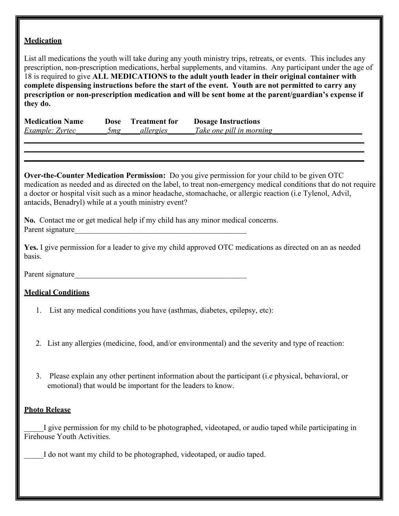#### **Medication**

List all medications the youth will take during any youth ministry trips, retreats, or events. This includes any prescription, non-prescription medications, herbal supplements, and vitamins. Any participant under the age of 18 is required to give **ALL MEDICATIONS to the adult youth leader in their original container with complete dispensing instructions before the start of the event. Youth are not permitted to carry any prescription or non-prescription medication and will be sent home at the parent/guardian's expense if they do.**

| <b>Medication Name</b> | Dose | <b>Treatment for</b> | <b>Dosage Instructions</b> |
|------------------------|------|----------------------|----------------------------|
| Example: Zyrtec        | 5mg  | allergies            | Take one pill in morning   |
|                        |      |                      |                            |

**Over-the-Counter Medication Permission:** Do you give permission for your child to be given OTC medication as needed and as directed on the label, to treat non-emergency medical conditions that do not require a doctor or hospital visit such as a minor headache, stomachache, or allergic reaction (i.e Tylenol, Advil, antacids, Benadryl) while at a youth ministry event?

*\_\_\_\_\_\_\_\_\_\_\_\_\_\_\_\_\_\_\_\_\_\_\_\_\_\_\_\_\_\_\_\_\_\_\_\_\_\_\_\_\_\_\_\_\_\_\_\_\_\_\_\_\_\_\_\_\_\_\_\_\_\_\_\_\_\_\_\_\_\_\_\_\_\_\_\_\_\_\_\_\_\_\_\_\_\_\_ \_\_\_\_\_\_\_\_\_\_\_\_\_\_\_\_\_\_\_\_\_\_\_\_\_\_\_\_\_\_\_\_\_\_\_\_\_\_\_\_\_\_\_\_\_\_\_\_\_\_\_\_\_\_\_\_\_\_\_\_\_\_\_\_\_\_\_\_\_\_\_\_\_\_\_\_\_\_\_\_\_\_\_\_\_\_\_*

**No.** Contact me or get medical help if my child has any minor medical concerns. Parent signature

**Yes.** I give permission for a leader to give my child approved OTC medications as directed on an as needed basis.

Parent signature

### **Medical Conditions**

- 1. List any medical conditions you have (asthmas, diabetes, epilepsy, etc):
- 2. List any allergies (medicine, food, and/or environmental) and the severity and type of reaction:
- 3. Please explain any other pertinent information about the participant (i.e physical, behavioral, or emotional) that would be important for the leaders to know.

#### **Photo Release**

I give permission for my child to be photographed, videotaped, or audio taped while participating in Firehouse Youth Activities.

I do not want my child to be photographed, videotaped, or audio taped.